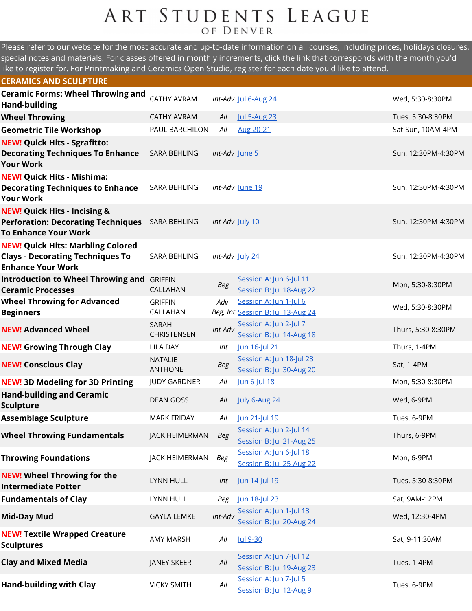## ART STUDENTS LEAGUE OF DENVER

Please refer to our website for the most accurate and up-to-date information on all courses, including prices, holidays closures, special notes and materials. For classes offered in monthly increments, click the link that corresponds with the month you'd like to register for. For Printmaking and Ceramics Open Studio, register for each date you'd like to attend.

| <b>CERAMICS AND SCULPTURE</b>                                                                                       |                                    |                |                                                             |                     |
|---------------------------------------------------------------------------------------------------------------------|------------------------------------|----------------|-------------------------------------------------------------|---------------------|
| <b>Ceramic Forms: Wheel Throwing and</b><br><b>Hand-building</b>                                                    | <b>CATHY AVRAM</b>                 |                | Int-Adv Jul 6-Aug 24                                        | Wed, 5:30-8:30PM    |
| <b>Wheel Throwing</b>                                                                                               | <b>CATHY AVRAM</b>                 | All            | <b>Jul 5-Aug 23</b>                                         | Tues, 5:30-8:30PM   |
| <b>Geometric Tile Workshop</b>                                                                                      | PAUL BARCHILON                     | All            | Aug 20-21                                                   | Sat-Sun, 10AM-4PM   |
| <b>NEW! Quick Hits - Sgrafitto:</b><br><b>Decorating Techniques To Enhance</b><br><b>Your Work</b>                  | SARA BEHLING                       | Int-Adv June 5 |                                                             | Sun, 12:30PM-4:30PM |
| <b>NEW! Quick Hits - Mishima:</b><br><b>Decorating Techniques to Enhance</b><br><b>Your Work</b>                    | SARA BEHLING                       |                | Int-Adv June 19                                             | Sun, 12:30PM-4:30PM |
| <b>NEW! Quick Hits - Incising &amp;</b><br><b>Perforation: Decorating Techniques</b><br><b>To Enhance Your Work</b> | SARA BEHLING                       |                | Int-Adv July 10                                             | Sun, 12:30PM-4:30PM |
| <b>NEW! Quick Hits: Marbling Colored</b><br><b>Clays - Decorating Techniques To</b><br><b>Enhance Your Work</b>     | SARA BEHLING                       |                | Int-Adv July 24                                             | Sun, 12:30PM-4:30PM |
| <b>Introduction to Wheel Throwing and</b><br><b>Ceramic Processes</b>                                               | <b>GRIFFIN</b><br>CALLAHAN         | <b>Beg</b>     | Session A: Jun 6-Jul 11<br>Session B: Jul 18-Aug 22         | Mon, 5:30-8:30PM    |
| <b>Wheel Throwing for Advanced</b><br><b>Beginners</b>                                                              | <b>GRIFFIN</b><br>CALLAHAN         | Adv            | Session A: Jun 1-Jul 6<br>Beg, Int Session B: Jul 13-Aug 24 | Wed, 5:30-8:30PM    |
| <b>NEW! Advanced Wheel</b>                                                                                          | <b>SARAH</b><br><b>CHRISTENSEN</b> | Int-Adv        | Session A: Jun 2-Jul 7<br>Session B: Jul 14-Aug 18          | Thurs, 5:30-8:30PM  |
| <b>NEW! Growing Through Clay</b>                                                                                    | <b>LILA DAY</b>                    | Int            | Jun 16-Jul 21                                               | Thurs, 1-4PM        |
| <b>NEW! Conscious Clay</b>                                                                                          | <b>NATALIE</b><br><b>ANTHONE</b>   | <b>Beg</b>     | Session A: Jun 18-Jul 23<br>Session B: Jul 30-Aug 20        | Sat, 1-4PM          |
| <b>NEW! 3D Modeling for 3D Printing</b>                                                                             | <b>JUDY GARDNER</b>                | All            | Jun 6-Jul 18                                                | Mon, 5:30-8:30PM    |
| <b>Hand-building and Ceramic</b><br><b>Sculpture</b>                                                                | <b>DEAN GOSS</b>                   | All            | July 6-Aug 24                                               | Wed, 6-9PM          |
| <b>Assemblage Sculpture</b>                                                                                         | <b>MARK FRIDAY</b>                 | All            | Jun 21-Jul 19                                               | Tues, 6-9PM         |
| <b>Wheel Throwing Fundamentals</b>                                                                                  | <b>JACK HEIMERMAN</b>              | Beg            | Session A: Jun 2-Jul 14<br>Session B: Jul 21-Aug 25         | Thurs, 6-9PM        |
| <b>Throwing Foundations</b>                                                                                         | JACK HEIMERMAN                     | Beg            | Session A: Jun 6-Jul 18<br>Session B: Jul 25-Aug 22         | Mon, 6-9PM          |
| <b>NEW! Wheel Throwing for the</b><br><b>Intermediate Potter</b>                                                    | LYNN HULL                          | Int            | Jun 14-Jul 19                                               | Tues, 5:30-8:30PM   |
| <b>Fundamentals of Clay</b>                                                                                         | LYNN HULL                          | Beg            | Jun 18-Jul 23                                               | Sat, 9AM-12PM       |
| <b>Mid-Day Mud</b>                                                                                                  | <b>GAYLA LEMKE</b>                 | Int-Adv        | Session A: Jun 1-Jul 13<br>Session B: Jul 20-Aug 24         | Wed, 12:30-4PM      |
| <b>NEW! Textile Wrapped Creature</b><br><b>Sculptures</b>                                                           | <b>AMY MARSH</b>                   | All            | Jul 9-30                                                    | Sat, 9-11:30AM      |
| <b>Clay and Mixed Media</b>                                                                                         | JANEY SKEER                        | All            | Session A: Jun 7-Jul 12<br>Session B: Jul 19-Aug 23         | Tues, 1-4PM         |
| <b>Hand-building with Clay</b>                                                                                      | <b>VICKY SMITH</b>                 | All            | Session A: Jun 7-Jul 5<br>Session B: Jul 12-Aug 9           | Tues, 6-9PM         |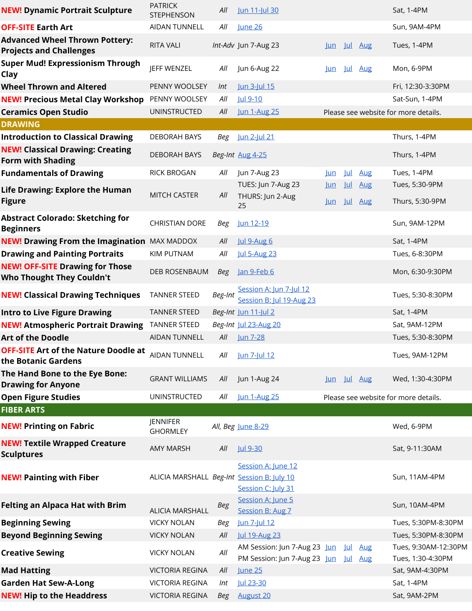| <b>NEW! Dynamic Portrait Sculpture</b>                                     | <b>PATRICK</b><br><b>STEPHENSON</b>        | All        | Jun 11-Jul 30                                                |                              |                          |                          | Sat, 1-4PM                                |
|----------------------------------------------------------------------------|--------------------------------------------|------------|--------------------------------------------------------------|------------------------------|--------------------------|--------------------------|-------------------------------------------|
| <b>OFF-SITE Earth Art</b>                                                  | <b>AIDAN TUNNELL</b>                       | All        | <b>June 26</b>                                               |                              |                          |                          | Sun, 9AM-4PM                              |
| <b>Advanced Wheel Thrown Pottery:</b><br><b>Projects and Challenges</b>    | RITA VALI                                  |            | Int-Adv Jun 7-Aug 23                                         | Jun Jul Aug                  |                          |                          | Tues, 1-4PM                               |
| <b>Super Mud! Expressionism Through</b><br>Clay                            | <b>JEFF WENZEL</b>                         | All        | Jun 6-Aug 22                                                 | lun                          | <u>Jul</u>               | <b>Aug</b>               | Mon, 6-9PM                                |
| <b>Wheel Thrown and Altered</b>                                            | PENNY WOOLSEY                              | Int        | Jun 3-Jul 15                                                 |                              |                          |                          | Fri, 12:30-3:30PM                         |
| <b>NEW! Precious Metal Clay Workshop</b>                                   | PENNY WOOLSEY                              | All        | Jul 9-10                                                     |                              |                          |                          | Sat-Sun, 1-4PM                            |
| <b>Ceramics Open Studio</b>                                                | <b>UNINSTRUCTED</b>                        | All        | <b>Jun 1-Aug 25</b>                                          |                              |                          |                          | Please see website for more details.      |
| <b>DRAWING</b>                                                             |                                            |            |                                                              |                              |                          |                          |                                           |
| <b>Introduction to Classical Drawing</b>                                   | DEBORAH BAYS                               | Beg        | <u>Jun 2-Jul 21</u>                                          |                              |                          |                          | Thurs, 1-4PM                              |
| <b>NEW! Classical Drawing: Creating</b><br><b>Form with Shading</b>        | <b>DEBORAH BAYS</b>                        |            | Beg-Int Aug 4-25                                             |                              |                          |                          | Thurs, 1-4PM                              |
| <b>Fundamentals of Drawing</b>                                             | <b>RICK BROGAN</b>                         | All        | Jun 7-Aug 23                                                 | $\mathsf{\underline{Lun}}$   | $\vert \mu \vert$        | <b>Aug</b>               | Tues, 1-4PM                               |
| <b>Life Drawing: Explore the Human</b><br><b>Figure</b>                    | <b>MITCH CASTER</b>                        | All        | TUES: Jun 7-Aug 23<br>THURS: Jun 2-Aug<br>25                 | <u>Jun</u><br><u>Jun</u> Jul | 山                        | <b>Aug</b><br><b>Aug</b> | Tues, 5:30-9PM<br>Thurs, 5:30-9PM         |
| <b>Abstract Colorado: Sketching for</b><br><b>Beginners</b>                | <b>CHRISTIAN DORE</b>                      | Beg        | Jun 12-19                                                    |                              |                          |                          | Sun, 9AM-12PM                             |
| <b>NEW! Drawing From the Imagination MAX MADDOX</b>                        |                                            | All        | <b>Jul 9-Aug 6</b>                                           |                              |                          |                          | Sat, 1-4PM                                |
| <b>Drawing and Painting Portraits</b>                                      | <b>KIM PUTNAM</b>                          | All        | <b>Jul 5-Aug 23</b>                                          |                              |                          |                          | Tues, 6-8:30PM                            |
| <b>NEW! OFF-SITE Drawing for Those</b><br><b>Who Thought They Couldn't</b> | DEB ROSENBAUM                              | Beg        | Jan 9-Feb 6                                                  |                              |                          |                          | Mon, 6:30-9:30PM                          |
| <b>NEW! Classical Drawing Techniques</b>                                   | <b>TANNER STEED</b>                        | Beg-Int    | Session A: Jun 7-Jul 12<br>Session B: Jul 19-Aug 23          |                              |                          |                          | Tues, 5:30-8:30PM                         |
| <b>Intro to Live Figure Drawing</b>                                        | <b>TANNER STEED</b>                        |            | Beg-Int Jun 11-Jul 2                                         |                              |                          |                          | Sat, 1-4PM                                |
| <b>NEW! Atmospheric Portrait Drawing</b>                                   | <b>TANNER STEED</b>                        |            | Beg-Int Jul 23-Aug 20                                        |                              |                          |                          | Sat, 9AM-12PM                             |
| <b>Art of the Doodle</b>                                                   | AIDAN TUNNELL                              | All        | Jun 7-28                                                     |                              |                          |                          | Tues, 5:30-8:30PM                         |
| <b>OFF-SITE Art of the Nature Doodle at</b><br>the Botanic Gardens         | <b>AIDAN TUNNELL</b>                       | All        | Jun 7-Jul 12                                                 |                              |                          |                          | Tues, 9AM-12PM                            |
| The Hand Bone to the Eye Bone:<br><b>Drawing for Anyone</b>                | <b>GRANT WILLIAMS</b>                      | All        | Jun 1-Aug 24                                                 | Jun Jul Aug                  |                          |                          | Wed, 1:30-4:30PM                          |
| <b>Open Figure Studies</b>                                                 | <b>UNINSTRUCTED</b>                        | All        | <b>Jun 1-Aug 25</b>                                          |                              |                          |                          | Please see website for more details.      |
| <b>FIBER ARTS</b>                                                          |                                            |            |                                                              |                              |                          |                          |                                           |
| <b>NEW! Printing on Fabric</b>                                             | <b>JENNIFER</b><br><b>GHORMLEY</b>         |            | All, Beg June 8-29                                           |                              |                          |                          | Wed, 6-9PM                                |
| <b>NEW! Textile Wrapped Creature</b><br><b>Sculptures</b>                  | <b>AMY MARSH</b>                           | All        | Jul 9-30                                                     |                              |                          |                          | Sat, 9-11:30AM                            |
| <b>NEW! Painting with Fiber</b>                                            | ALICIA MARSHALL Beg-Int Session B: July 10 |            | Session A: June 12<br>Session C: July 31                     |                              |                          |                          | Sun, 11AM-4PM                             |
| <b>Felting an Alpaca Hat with Brim</b>                                     | <b>ALICIA MARSHALL</b>                     | <b>Beg</b> | Session A: June 5<br>Session B: Aug 7                        |                              |                          |                          | Sun, 10AM-4PM                             |
| <b>Beginning Sewing</b>                                                    | <b>VICKY NOLAN</b>                         | Beg        | Jun 7-Jul 12                                                 |                              |                          |                          | Tues, 5:30PM-8:30PM                       |
| <b>Beyond Beginning Sewing</b>                                             | <b>VICKY NOLAN</b>                         | All        | Jul 19-Aug 23                                                |                              |                          |                          | Tues, 5:30PM-8:30PM                       |
| <b>Creative Sewing</b>                                                     | <b>VICKY NOLAN</b>                         | All        | AM Session: Jun 7-Aug 23 Jun<br>PM Session: Jun 7-Aug 23 Jun |                              | <u>Jul</u><br><u>Jul</u> | Aug<br><b>Aug</b>        | Tues, 9:30AM-12:30PM<br>Tues, 1:30-4:30PM |
| <b>Mad Hatting</b>                                                         | <b>VICTORIA REGINA</b>                     | All        | <b>June 25</b>                                               |                              |                          |                          | Sat, 9AM-4:30PM                           |
| <b>Garden Hat Sew-A-Long</b>                                               | <b>VICTORIA REGINA</b>                     | Int        | Jul 23-30                                                    |                              |                          |                          | Sat, 1-4PM                                |
| <b>NEW! Hip to the Headdress</b>                                           | <b>VICTORIA REGINA</b>                     | Beg        | <b>August 20</b>                                             |                              |                          |                          | Sat, 9AM-2PM                              |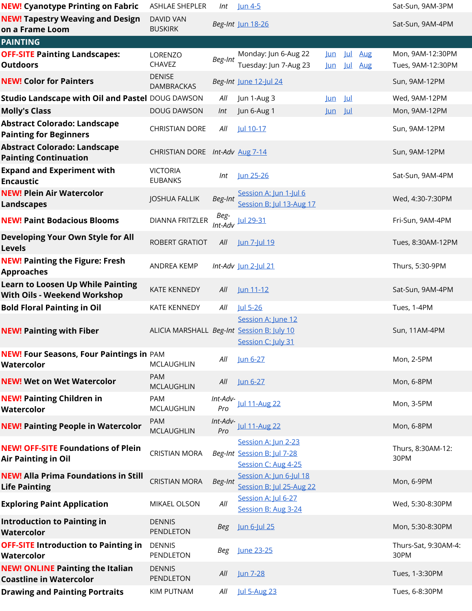| <b>NEW! Cyanotype Printing on Fabric</b>                                        | ASHLAE SHEPLER                             | Int             | <u>Jun 4-5</u>                                                            |                          |            |            | Sat-Sun, 9AM-3PM                      |
|---------------------------------------------------------------------------------|--------------------------------------------|-----------------|---------------------------------------------------------------------------|--------------------------|------------|------------|---------------------------------------|
| <b>NEW! Tapestry Weaving and Design</b><br>on a Frame Loom                      | <b>DAVID VAN</b><br><b>BUSKIRK</b>         |                 | Beg-Int Jun 18-26                                                         |                          |            |            | Sat-Sun, 9AM-4PM                      |
| <b>PAINTING</b>                                                                 |                                            |                 |                                                                           |                          |            |            |                                       |
| <b>OFF-SITE Painting Landscapes:</b><br><b>Outdoors</b>                         | LORENZO<br><b>CHAVEZ</b>                   | Beg-Int         | Monday: Jun 6-Aug 22<br>Tuesday: Jun 7-Aug 23                             | <u>Jun</u><br><u>Jun</u> | Jul<br>Jul | Aug<br>Aug | Mon, 9AM-12:30PM<br>Tues, 9AM-12:30PM |
| <b>NEW! Color for Painters</b>                                                  | <b>DENISE</b><br><b>DAMBRACKAS</b>         |                 | Beg-Int June 12-Jul 24                                                    |                          |            |            | Sun, 9AM-12PM                         |
| Studio Landscape with Oil and Pastel DOUG DAWSON                                |                                            | All             | Jun 1-Aug 3                                                               | <u>Jun</u>               | <u>Jul</u> |            | Wed, 9AM-12PM                         |
| <b>Molly's Class</b>                                                            | <b>DOUG DAWSON</b>                         | Int             | Jun 6-Aug 1                                                               | Jun Jul                  |            |            | Mon, 9AM-12PM                         |
| <b>Abstract Colorado: Landscape</b><br><b>Painting for Beginners</b>            | <b>CHRISTIAN DORE</b>                      | All             | Jul 10-17                                                                 |                          |            |            | Sun, 9AM-12PM                         |
| <b>Abstract Colorado: Landscape</b><br><b>Painting Continuation</b>             | CHRISTIAN DORE Int-Adv Aug 7-14            |                 |                                                                           |                          |            |            | Sun, 9AM-12PM                         |
| <b>Expand and Experiment with</b><br><b>Encaustic</b>                           | <b>VICTORIA</b><br><b>EUBANKS</b>          | Int             | Jun 25-26                                                                 |                          |            |            | Sat-Sun, 9AM-4PM                      |
| <b>NEW! Plein Air Watercolor</b><br><b>Landscapes</b>                           | <b>JOSHUA FALLIK</b>                       | Beg-Int         | Session A: Jun 1-Jul 6<br>Session B: Jul 13-Aug 17                        |                          |            |            | Wed, 4:30-7:30PM                      |
| <b>NEW! Paint Bodacious Blooms</b>                                              | <b>DIANNA FRITZLER</b>                     |                 | $Int$ - $Adv$ Jul 29-31                                                   |                          |            |            | Fri-Sun, 9AM-4PM                      |
| <b>Developing Your Own Style for All</b><br><b>Levels</b>                       | ROBERT GRATIOT                             | All             | <u>Jun 7-Jul 19</u>                                                       |                          |            |            | Tues, 8:30AM-12PM                     |
| <b>NEW! Painting the Figure: Fresh</b><br><b>Approaches</b>                     | ANDREA KEMP                                |                 | Int-Adv Jun 2-Jul 21                                                      |                          |            |            | Thurs, 5:30-9PM                       |
| <b>Learn to Loosen Up While Painting</b><br><b>With Oils - Weekend Workshop</b> | <b>KATE KENNEDY</b>                        | All             | Jun 11-12                                                                 |                          |            |            | Sat-Sun, 9AM-4PM                      |
| <b>Bold Floral Painting in Oil</b>                                              | <b>KATE KENNEDY</b>                        | All             | Jul 5-26                                                                  |                          |            |            | Tues, 1-4PM                           |
| <b>NEW! Painting with Fiber</b>                                                 | ALICIA MARSHALL Beg-Int Session B: July 10 |                 | Session A: June 12<br>Session C: July 31                                  |                          |            |            | Sun, 11AM-4PM                         |
| <b>NEW! Four Seasons, Four Paintings in PAM</b><br><b>Watercolor</b>            | <b>MCLAUGHLIN</b>                          | All             | Jun 6-27                                                                  |                          |            |            | Mon, 2-5PM                            |
| <b>NEW! Wet on Wet Watercolor</b>                                               | <b>PAM</b><br><b>MCLAUGHLIN</b>            | All             | <u>Jun 6-27</u>                                                           |                          |            |            | Mon, 6-8PM                            |
| <b>NEW! Painting Children in</b><br>Watercolor                                  | <b>PAM</b><br><b>MCLAUGHLIN</b>            | Int-Adv-<br>Pro | Jul 11-Aug 22                                                             |                          |            |            | Mon, 3-5PM                            |
| <b>NEW! Painting People in Watercolor</b>                                       | PAM<br><b>MCLAUGHLIN</b>                   | Int-Adv-<br>Pro | <b>Jul 11-Aug 22</b>                                                      |                          |            |            | Mon, 6-8PM                            |
| <b>NEW! OFF-SITE Foundations of Plein</b><br><b>Air Painting in Oil</b>         | <b>CRISTIAN MORA</b>                       |                 | Session A: Jun 2-23<br>Beg-Int Session B: Jul 7-28<br>Session C: Aug 4-25 |                          |            |            | Thurs, 8:30AM-12:<br>30PM             |
| <b>NEW! Alla Prima Foundations in Still</b><br><b>Life Painting</b>             | <b>CRISTIAN MORA</b>                       | Beg-Int         | Session A: Jun 6-Jul 18<br>Session B: Jul 25-Aug 22                       |                          |            |            | Mon, 6-9PM                            |
| <b>Exploring Paint Application</b>                                              | MIKAEL OLSON                               | All             | Session A: Jul 6-27<br>Session B: Aug 3-24                                |                          |            |            | Wed, 5:30-8:30PM                      |
| <b>Introduction to Painting in</b><br><b>Watercolor</b>                         | <b>DENNIS</b><br>PENDLETON                 | <b>Beg</b>      | Jun 6-Jul 25                                                              |                          |            |            | Mon, 5:30-8:30PM                      |
| <b>OFF-SITE Introduction to Painting in</b><br><b>Watercolor</b>                | <b>DENNIS</b><br>PENDLETON                 | Beg             | June 23-25                                                                |                          |            |            | Thurs-Sat, 9:30AM-4:<br>30PM          |
| <b>NEW! ONLINE Painting the Italian</b><br><b>Coastline in Watercolor</b>       | <b>DENNIS</b><br>PENDLETON                 | All             | <b>Jun 7-28</b>                                                           |                          |            |            | Tues, 1-3:30PM                        |
| <b>Drawing and Painting Portraits</b>                                           | KIM PUTNAM                                 | All             | <b>Jul 5-Aug 23</b>                                                       |                          |            |            | Tues, 6-8:30PM                        |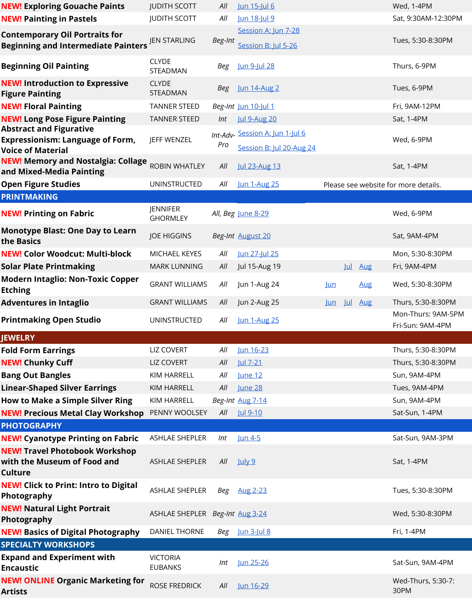| <b>NEW! Exploring Gouache Paints</b>                                                                  | <b>JUDITH SCOTT</b>                | All     | Jun 15-Jul 6                                                |            |             |            | Wed, 1-4PM                             |
|-------------------------------------------------------------------------------------------------------|------------------------------------|---------|-------------------------------------------------------------|------------|-------------|------------|----------------------------------------|
| <b>NEW! Painting in Pastels</b>                                                                       | <b>JUDITH SCOTT</b>                | All     | Jun 18-Jul 9                                                |            |             |            | Sat, 9:30AM-12:30PM                    |
| <b>Contemporary Oil Portraits for</b><br><b>Beginning and Intermediate Painters</b>                   | <b>JEN STARLING</b>                | Beg-Int | Session A: Jun 7-28<br>Session B: Jul 5-26                  |            |             |            | Tues, 5:30-8:30PM                      |
| <b>Beginning Oil Painting</b>                                                                         | <b>CLYDE</b><br>STEADMAN           | Beg     | Jun 9-Jul 28                                                |            |             |            | Thurs, 6-9PM                           |
| <b>NEW! Introduction to Expressive</b><br><b>Figure Painting</b>                                      | <b>CLYDE</b><br>STEADMAN           | Beg     | Jun 14-Aug 2                                                |            |             |            | Tues, 6-9PM                            |
| <b>NEW! Floral Painting</b>                                                                           | <b>TANNER STEED</b>                |         | Beg-Int Jun 10-Jul 1                                        |            |             |            | Fri, 9AM-12PM                          |
| <b>NEW! Long Pose Figure Painting</b>                                                                 | <b>TANNER STEED</b>                | Int     | <b>Jul 9-Aug 20</b>                                         |            |             |            | Sat, 1-4PM                             |
| <b>Abstract and Figurative</b><br><b>Expressionism: Language of Form,</b><br><b>Voice of Material</b> | JEFF WENZEL                        | Pro     | Int-Adv- Session A: Jun 1-Jul 6<br>Session B: Jul 20-Aug 24 |            |             |            | Wed, 6-9PM                             |
| <b>NEW! Memory and Nostalgia: Collage</b><br>and Mixed-Media Painting                                 | <b>ROBIN WHATLEY</b>               | All     | <b>Jul 23-Aug 13</b>                                        |            |             |            | Sat, 1-4PM                             |
| <b>Open Figure Studies</b>                                                                            | UNINSTRUCTED                       | All     | <b>Jun 1-Aug 25</b>                                         |            |             |            | Please see website for more details.   |
| <b>PRINTMAKING</b>                                                                                    |                                    |         |                                                             |            |             |            |                                        |
| <b>NEW! Printing on Fabric</b>                                                                        | <b>JENNIFER</b><br><b>GHORMLEY</b> |         | All, Beg June 8-29                                          |            |             |            | Wed, 6-9PM                             |
| <b>Monotype Blast: One Day to Learn</b><br>the Basics                                                 | <b>JOE HIGGINS</b>                 |         | Beg-Int August 20                                           |            |             |            | Sat, 9AM-4PM                           |
| <b>NEW! Color Woodcut: Multi-block</b>                                                                | MICHAEL KEYES                      | All     | Jun 27-Jul 25                                               |            |             |            | Mon, 5:30-8:30PM                       |
| <b>Solar Plate Printmaking</b>                                                                        | <b>MARK LUNNING</b>                | All     | Jul 15-Aug 19                                               |            | Jul         | Aug        | Fri, 9AM-4PM                           |
| <b>Modern Intaglio: Non-Toxic Copper</b><br><b>Etching</b>                                            | <b>GRANT WILLIAMS</b>              | All     | Jun 1-Aug 24                                                | Jun        |             | <b>Aug</b> | Wed, 5:30-8:30PM                       |
| <b>Adventures in Intaglio</b>                                                                         | <b>GRANT WILLIAMS</b>              | All     | Jun 2-Aug 25                                                | <u>Jun</u> | <u> Jul</u> | <b>Aug</b> | Thurs, 5:30-8:30PM                     |
| <b>Printmaking Open Studio</b>                                                                        | UNINSTRUCTED                       | All     | <b>Jun 1-Aug 25</b>                                         |            |             |            | Mon-Thurs: 9AM-5PM<br>Fri-Sun: 9AM-4PM |
| <b>JEWELRY</b>                                                                                        |                                    |         |                                                             |            |             |            |                                        |
| <b>Fold Form Earrings</b>                                                                             | <b>LIZ COVERT</b>                  | All     | Jun 16-23                                                   |            |             |            | Thurs, 5:30-8:30PM                     |
| <b>NEW! Chunky Cuff</b>                                                                               | LIZ COVERT                         | All     | Jul 7-21                                                    |            |             |            | Thurs, 5:30-8:30PM                     |
| <b>Bang Out Bangles</b>                                                                               | KIM HARRELL                        | All     | June 12                                                     |            |             |            | Sun, 9AM-4PM                           |
| <b>Linear-Shaped Silver Earrings</b>                                                                  | <b>KIM HARRELL</b>                 | All     | <b>June 28</b>                                              |            |             |            | Tues, 9AM-4PM                          |
| <b>How to Make a Simple Silver Ring</b>                                                               | KIM HARRELL                        |         | Beg-Int Aug 7-14                                            |            |             |            | Sun, 9AM-4PM                           |
| <b>NEW! Precious Metal Clay Workshop</b><br><b>PHOTOGRAPHY</b>                                        | PENNY WOOLSEY                      | All     | Jul 9-10                                                    |            |             |            | Sat-Sun, 1-4PM                         |
| <b>NEW! Cyanotype Printing on Fabric</b>                                                              | ASHLAE SHEPLER                     | Int     | <u>Jun 4-5</u>                                              |            |             |            | Sat-Sun, 9AM-3PM                       |
| <b>NEW! Travel Photobook Workshop</b><br>with the Museum of Food and<br><b>Culture</b>                | <b>ASHLAE SHEPLER</b>              | All     | July 9                                                      |            |             |            | Sat, 1-4PM                             |
| <b>NEW! Click to Print: Intro to Digital</b><br>Photography                                           | ASHLAE SHEPLER                     | Beg     | Aug 2-23                                                    |            |             |            | Tues, 5:30-8:30PM                      |
| <b>NEW! Natural Light Portrait</b><br>Photography                                                     | ASHLAE SHEPLER Beg-Int Aug 3-24    |         |                                                             |            |             |            | Wed, 5:30-8:30PM                       |
| <b>NEW! Basics of Digital Photography</b>                                                             | DANIEL THORNE                      |         | Beg Jun 3-Jul 8                                             |            |             |            | Fri, 1-4PM                             |
| <b>SPECIALTY WORKSHOPS</b>                                                                            |                                    |         |                                                             |            |             |            |                                        |
| <b>Expand and Experiment with</b><br><b>Encaustic</b>                                                 | <b>VICTORIA</b><br><b>EUBANKS</b>  | Int     | Jun 25-26                                                   |            |             |            | Sat-Sun, 9AM-4PM                       |
| <b>NEW! ONLINE Organic Marketing for</b><br><b>Artists</b>                                            | ROSE FREDRICK                      | All     | Jun 16-29                                                   |            |             |            | Wed-Thurs, 5:30-7:<br>30PM             |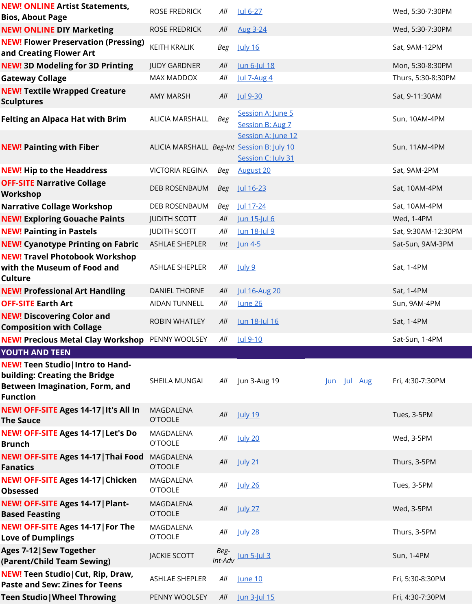| <b>NEW! ONLINE Artist Statements,</b><br><b>Bios, About Page</b>                                                                      | <b>ROSE FREDRICK</b>                       | All  | <u>Jul 6-27</u>                          |             | Wed, 5:30-7:30PM    |
|---------------------------------------------------------------------------------------------------------------------------------------|--------------------------------------------|------|------------------------------------------|-------------|---------------------|
| <b>NEW! ONLINE DIY Marketing</b>                                                                                                      | <b>ROSE FREDRICK</b>                       | All  | <b>Aug 3-24</b>                          |             | Wed, 5:30-7:30PM    |
| <b>NEW! Flower Preservation (Pressing)</b><br>and Creating Flower Art                                                                 | <b>KEITH KRALIK</b>                        | Beg  | <b>July 16</b>                           |             | Sat, 9AM-12PM       |
| <b>NEW! 3D Modeling for 3D Printing</b>                                                                                               | <b>JUDY GARDNER</b>                        | All  | Jun 6-Jul 18                             |             | Mon, 5:30-8:30PM    |
| <b>Gateway Collage</b>                                                                                                                | MAX MADDOX                                 | All  | Jul 7-Aug 4                              |             | Thurs, 5:30-8:30PM  |
| <b>NEW! Textile Wrapped Creature</b><br><b>Sculptures</b>                                                                             | <b>AMY MARSH</b>                           | All  | Jul 9-30                                 |             | Sat, 9-11:30AM      |
| <b>Felting an Alpaca Hat with Brim</b>                                                                                                | ALICIA MARSHALL                            | Beg  | Session A: June 5<br>Session B: Aug 7    |             | Sun, 10AM-4PM       |
| <b>NEW! Painting with Fiber</b>                                                                                                       | ALICIA MARSHALL Beg-Int Session B: July 10 |      | Session A: June 12<br>Session C: July 31 |             | Sun, 11AM-4PM       |
| <b>NEW! Hip to the Headdress</b>                                                                                                      | <b>VICTORIA REGINA</b>                     | Beg  | <b>August 20</b>                         |             | Sat, 9AM-2PM        |
| <b>OFF-SITE Narrative Collage</b><br>Workshop                                                                                         | <b>DEB ROSENBAUM</b>                       | Beg  | <u>Jul 16-23</u>                         |             | Sat, 10AM-4PM       |
| <b>Narrative Collage Workshop</b>                                                                                                     | DEB ROSENBAUM                              | Beg  | Jul 17-24                                |             | Sat, 10AM-4PM       |
| <b>NEW! Exploring Gouache Paints</b>                                                                                                  | <b>JUDITH SCOTT</b>                        | All  | Jun 15-Jul 6                             |             | Wed, 1-4PM          |
| <b>NEW! Painting in Pastels</b>                                                                                                       | <b>JUDITH SCOTT</b>                        | All  | Jun 18-Jul 9                             |             | Sat, 9:30AM-12:30PM |
| <b>NEW! Cyanotype Printing on Fabric</b>                                                                                              | <b>ASHLAE SHEPLER</b>                      | Int  | <u>Jun 4-5</u>                           |             | Sat-Sun, 9AM-3PM    |
| <b>NEW! Travel Photobook Workshop</b><br>with the Museum of Food and<br>Culture                                                       | ASHLAE SHEPLER                             | All  | <u>July 9</u>                            |             | Sat, 1-4PM          |
| <b>NEW! Professional Art Handling</b>                                                                                                 | <b>DANIEL THORNE</b>                       | All  | <b>Jul 16-Aug 20</b>                     |             | Sat, 1-4PM          |
| <b>OFF-SITE Earth Art</b>                                                                                                             | AIDAN TUNNELL                              | All  | June 26                                  |             | Sun, 9AM-4PM        |
|                                                                                                                                       |                                            |      |                                          |             |                     |
| <b>NEW! Discovering Color and</b><br><b>Composition with Collage</b>                                                                  | ROBIN WHATLEY                              | All  | Jun 18-Jul 16                            |             | Sat, 1-4PM          |
| <b>NEW! Precious Metal Clay Workshop</b>                                                                                              | PENNY WOOLSEY                              | All  | Jul 9-10                                 |             | Sat-Sun, 1-4PM      |
| <b>YOUTH AND TEEN</b>                                                                                                                 |                                            |      |                                          |             |                     |
| <b>NEW! Teen Studio   Intro to Hand-</b><br>building: Creating the Bridge<br><b>Between Imagination, Form, and</b><br><b>Function</b> | SHEILA MUNGAI                              | All  | Jun 3-Aug 19                             | Jun Jul Aug | Fri, 4:30-7:30PM    |
| NEW! OFF-SITE Ages 14-17   It's All In<br><b>The Sauce</b>                                                                            | MAGDALENA<br><b>O'TOOLE</b>                | All  | <b>July 19</b>                           |             | Tues, 3-5PM         |
| NEW! OFF-SITE Ages 14-17   Let's Do<br><b>Brunch</b>                                                                                  | MAGDALENA<br><b>O'TOOLE</b>                | All  | <b>July 20</b>                           |             | Wed, 3-5PM          |
| NEW! OFF-SITE Ages 14-17   Thai Food<br><b>Fanatics</b>                                                                               | MAGDALENA<br><b>O'TOOLE</b>                | All  | <b>July 21</b>                           |             | Thurs, 3-5PM        |
| NEW! OFF-SITE Ages 14-17   Chicken<br><b>Obsessed</b>                                                                                 | MAGDALENA<br><b>O'TOOLE</b>                | All  | <b>July 26</b>                           |             | Tues, 3-5PM         |
| NEW! OFF-SITE Ages 14-17   Plant-<br><b>Based Feasting</b>                                                                            | MAGDALENA<br><b>O'TOOLE</b>                | All  | <b>July 27</b>                           |             | Wed, 3-5PM          |
| NEW! OFF-SITE Ages 14-17   For The<br><b>Love of Dumplings</b>                                                                        | MAGDALENA<br><b>O'TOOLE</b>                | All  | <b>July 28</b>                           |             | Thurs, 3-5PM        |
|                                                                                                                                       | <b>JACKIE SCOTT</b>                        | Beg- | $Int$ - $Adv$ Jun 5-Jul 3                |             | Sun, 1-4PM          |
| Ages 7-12   Sew Together<br>(Parent/Child Team Sewing)<br>NEW! Teen Studio   Cut, Rip, Draw,<br><b>Paste and Sew: Zines for Teens</b> | ASHLAE SHEPLER                             | All  | June 10                                  |             | Fri, 5:30-8:30PM    |